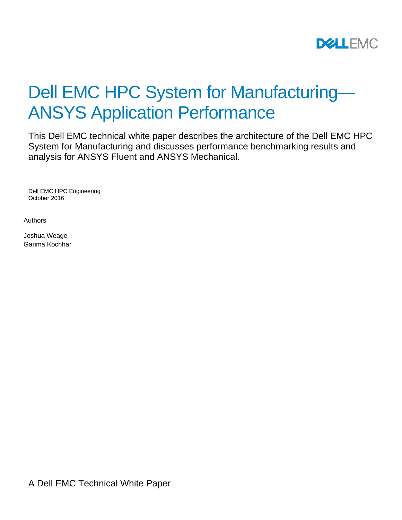

# Dell EMC HPC System for Manufacturing— ANSYS Application Performance

This Dell EMC technical white paper describes the architecture of the Dell EMC HPC System for Manufacturing and discusses performance benchmarking results and analysis for ANSYS Fluent and ANSYS Mechanical.

Dell EMC HPC Engineering October 2016

Authors

Joshua Weage Garima Kochhar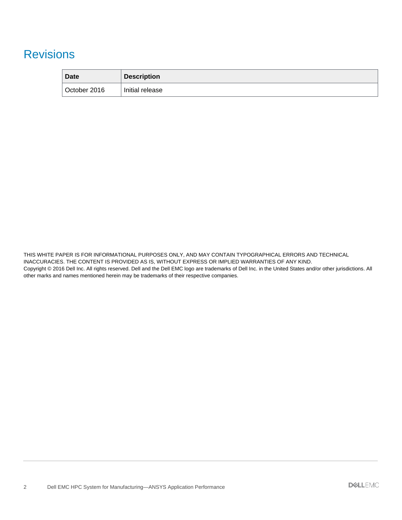### Revisions

| Date         | <b>Description</b> |
|--------------|--------------------|
| October 2016 | Initial release    |

THIS WHITE PAPER IS FOR INFORMATIONAL PURPOSES ONLY, AND MAY CONTAIN TYPOGRAPHICAL ERRORS AND TECHNICAL INACCURACIES. THE CONTENT IS PROVIDED AS IS, WITHOUT EXPRESS OR IMPLIED WARRANTIES OF ANY KIND. Copyright © 2016 Dell Inc. All rights reserved. Dell and the Dell EMC logo are trademarks of Dell Inc. in the United States and/or other jurisdictions. All other marks and names mentioned herein may be trademarks of their respective companies.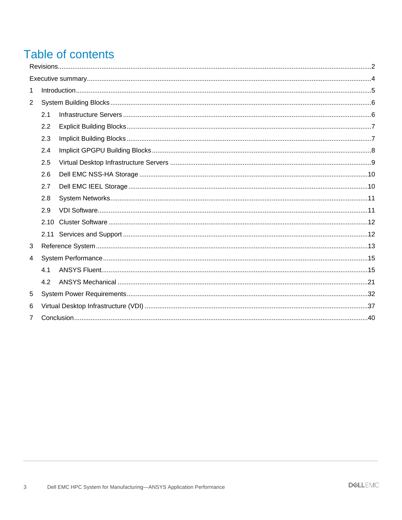## Table of contents

| 1 |      |  |  |
|---|------|--|--|
| 2 |      |  |  |
|   | 2.1  |  |  |
|   | 2.2  |  |  |
|   | 2.3  |  |  |
|   | 2.4  |  |  |
|   | 2.5  |  |  |
|   | 2.6  |  |  |
|   | 2.7  |  |  |
|   | 2.8  |  |  |
|   | 2.9  |  |  |
|   | 2.10 |  |  |
|   |      |  |  |
| 3 |      |  |  |
| 4 |      |  |  |
|   | 4.1  |  |  |
|   | 4.2  |  |  |
| 5 |      |  |  |
| 6 |      |  |  |
| 7 |      |  |  |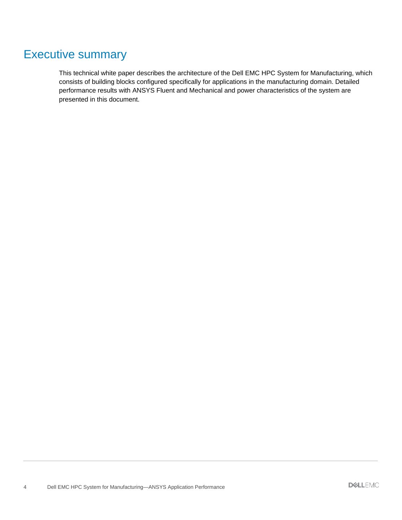### Executive summary

This technical white paper describes the architecture of the Dell EMC HPC System for Manufacturing, which consists of building blocks configured specifically for applications in the manufacturing domain. Detailed performance results with ANSYS Fluent and Mechanical and power characteristics of the system are presented in this document.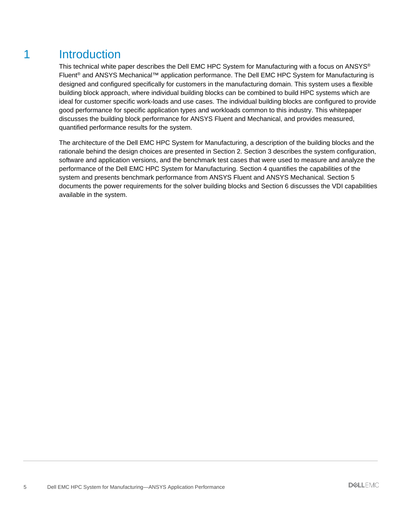### 1 Introduction

This technical white paper describes the Dell EMC HPC System for Manufacturing with a focus on ANSYS® Fluent<sup>®</sup> and ANSYS Mechanical<sup>™</sup> application performance. The Dell EMC HPC System for Manufacturing is designed and configured specifically for customers in the manufacturing domain. This system uses a flexible building block approach, where individual building blocks can be combined to build HPC systems which are ideal for customer specific work-loads and use cases. The individual building blocks are configured to provide good performance for specific application types and workloads common to this industry. This whitepaper discusses the building block performance for ANSYS Fluent and Mechanical, and provides measured, quantified performance results for the system.

The architecture of the Dell EMC HPC System for Manufacturing, a description of the building blocks and the rationale behind the design choices are presented in Section 2. Section 3 describes the system configuration, software and application versions, and the benchmark test cases that were used to measure and analyze the performance of the Dell EMC HPC System for Manufacturing. Section 4 quantifies the capabilities of the system and presents benchmark performance from ANSYS Fluent and ANSYS Mechanical. Section 5 documents the power requirements for the solver building blocks and Section 6 discusses the VDI capabilities available in the system.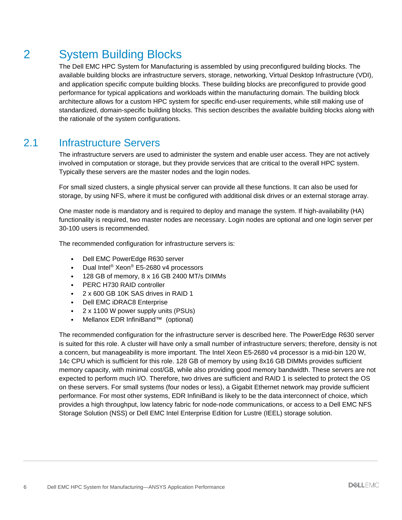## 2 System Building Blocks

The Dell EMC HPC System for Manufacturing is assembled by using preconfigured building blocks. The available building blocks are infrastructure servers, storage, networking, Virtual Desktop Infrastructure (VDI), and application specific compute building blocks. These building blocks are preconfigured to provide good performance for typical applications and workloads within the manufacturing domain. The building block architecture allows for a custom HPC system for specific end-user requirements, while still making use of standardized, domain-specific building blocks. This section describes the available building blocks along with the rationale of the system configurations.

### 2.1 Infrastructure Servers

The infrastructure servers are used to administer the system and enable user access. They are not actively involved in computation or storage, but they provide services that are critical to the overall HPC system. Typically these servers are the master nodes and the login nodes.

For small sized clusters, a single physical server can provide all these functions. It can also be used for storage, by using NFS, where it must be configured with additional disk drives or an external storage array.

One master node is mandatory and is required to deploy and manage the system. If high-availability (HA) functionality is required, two master nodes are necessary. Login nodes are optional and one login server per 30-100 users is recommended.

The recommended configuration for infrastructure servers is:

- Dell EMC PowerEdge R630 server
- Dual Intel® Xeon® E5-2680 v4 processors
- 128 GB of memory, 8 x 16 GB 2400 MT/s DIMMs
- PERC H730 RAID controller
- 2 x 600 GB 10K SAS drives in RAID 1
- Dell EMC iDRAC8 Enterprise
- 2 x 1100 W power supply units (PSUs)
- Mellanox EDR InfiniBand™ (optional)

The recommended configuration for the infrastructure server is described here. The PowerEdge R630 server is suited for this role. A cluster will have only a small number of infrastructure servers; therefore, density is not a concern, but manageability is more important. The Intel Xeon E5-2680 v4 processor is a mid-bin 120 W, 14c CPU which is sufficient for this role. 128 GB of memory by using 8x16 GB DIMMs provides sufficient memory capacity, with minimal cost/GB, while also providing good memory bandwidth. These servers are not expected to perform much I/O. Therefore, two drives are sufficient and RAID 1 is selected to protect the OS on these servers. For small systems (four nodes or less), a Gigabit Ethernet network may provide sufficient performance. For most other systems, EDR InfiniBand is likely to be the data interconnect of choice, which provides a high throughput, low latency fabric for node-node communications, or access to a Dell EMC NFS Storage Solution (NSS) or Dell EMC Intel Enterprise Edition for Lustre (IEEL) storage solution.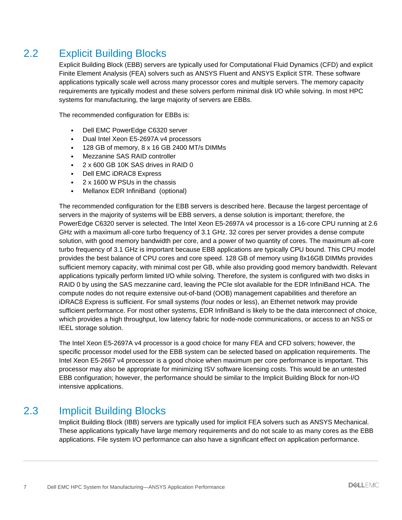### 2.2 Explicit Building Blocks

Explicit Building Block (EBB) servers are typically used for Computational Fluid Dynamics (CFD) and explicit Finite Element Analysis (FEA) solvers such as ANSYS Fluent and ANSYS Explicit STR. These software applications typically scale well across many processor cores and multiple servers. The memory capacity requirements are typically modest and these solvers perform minimal disk I/O while solving. In most HPC systems for manufacturing, the large majority of servers are EBBs.

The recommended configuration for EBBs is:

- Dell EMC PowerEdge C6320 server
- Dual Intel Xeon E5-2697A v4 processors
- 128 GB of memory, 8 x 16 GB 2400 MT/s DIMMs
- Mezzanine SAS RAID controller
- 2 x 600 GB 10K SAS drives in RAID 0
- Dell EMC iDRAC8 Express
- 2 x 1600 W PSUs in the chassis
- Mellanox EDR InfiniBand (optional)

The recommended configuration for the EBB servers is described here. Because the largest percentage of servers in the majority of systems will be EBB servers, a dense solution is important; therefore, the PowerEdge C6320 server is selected. The Intel Xeon E5-2697A v4 processor is a 16-core CPU running at 2.6 GHz with a maximum all-core turbo frequency of 3.1 GHz. 32 cores per server provides a dense compute solution, with good memory bandwidth per core, and a power of two quantity of cores. The maximum all-core turbo frequency of 3.1 GHz is important because EBB applications are typically CPU bound. This CPU model provides the best balance of CPU cores and core speed. 128 GB of memory using 8x16GB DIMMs provides sufficient memory capacity, with minimal cost per GB, while also providing good memory bandwidth. Relevant applications typically perform limited I/O while solving. Therefore, the system is configured with two disks in RAID 0 by using the SAS mezzanine card, leaving the PCIe slot available for the EDR InfiniBand HCA. The compute nodes do not require extensive out-of-band (OOB) management capabilities and therefore an iDRAC8 Express is sufficient. For small systems (four nodes or less), an Ethernet network may provide sufficient performance. For most other systems, EDR InfiniBand is likely to be the data interconnect of choice, which provides a high throughput, low latency fabric for node-node communications, or access to an NSS or IEEL storage solution.

The Intel Xeon E5-2697A v4 processor is a good choice for many FEA and CFD solvers; however, the specific processor model used for the EBB system can be selected based on application requirements. The Intel Xeon E5-2667 v4 processor is a good choice when maximum per core performance is important. This processor may also be appropriate for minimizing ISV software licensing costs. This would be an untested EBB configuration; however, the performance should be similar to the Implicit Building Block for non-I/O intensive applications.

#### 2.3 Implicit Building Blocks

Implicit Building Block (IBB) servers are typically used for implicit FEA solvers such as ANSYS Mechanical. These applications typically have large memory requirements and do not scale to as many cores as the EBB applications. File system I/O performance can also have a significant effect on application performance.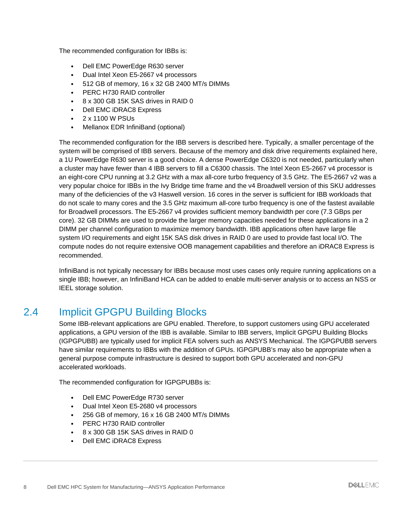The recommended configuration for IBBs is:

- Dell EMC PowerEdge R630 server
- Dual Intel Xeon E5-2667 v4 processors
- 512 GB of memory, 16 x 32 GB 2400 MT/s DIMMs
- PERC H730 RAID controller
- 8 x 300 GB 15K SAS drives in RAID 0
- Dell EMC iDRAC8 Express
- 2 x 1100 W PSUs
- Mellanox EDR InfiniBand (optional)

The recommended configuration for the IBB servers is described here. Typically, a smaller percentage of the system will be comprised of IBB servers. Because of the memory and disk drive requirements explained here, a 1U PowerEdge R630 server is a good choice. A dense PowerEdge C6320 is not needed, particularly when a cluster may have fewer than 4 IBB servers to fill a C6300 chassis. The Intel Xeon E5-2667 v4 processor is an eight-core CPU running at 3.2 GHz with a max all-core turbo frequency of 3.5 GHz. The E5-2667 v2 was a very popular choice for IBBs in the Ivy Bridge time frame and the v4 Broadwell version of this SKU addresses many of the deficiencies of the v3 Haswell version. 16 cores in the server is sufficient for IBB workloads that do not scale to many cores and the 3.5 GHz maximum all-core turbo frequency is one of the fastest available for Broadwell processors. The E5-2667 v4 provides sufficient memory bandwidth per core (7.3 GBps per core). 32 GB DIMMs are used to provide the larger memory capacities needed for these applications in a 2 DIMM per channel configuration to maximize memory bandwidth. IBB applications often have large file system I/O requirements and eight 15K SAS disk drives in RAID 0 are used to provide fast local I/O. The compute nodes do not require extensive OOB management capabilities and therefore an iDRAC8 Express is recommended.

InfiniBand is not typically necessary for IBBs because most uses cases only require running applications on a single IBB; however, an InfiniBand HCA can be added to enable multi-server analysis or to access an NSS or IEEL storage solution.

### 2.4 Implicit GPGPU Building Blocks

Some IBB-relevant applications are GPU enabled. Therefore, to support customers using GPU accelerated applications, a GPU version of the IBB is available. Similar to IBB servers, Implicit GPGPU Building Blocks (IGPGPUBB) are typically used for implicit FEA solvers such as ANSYS Mechanical. The IGPGPUBB servers have similar requirements to IBBs with the addition of GPUs. IGPGPUBB's may also be appropriate when a general purpose compute infrastructure is desired to support both GPU accelerated and non-GPU accelerated workloads.

The recommended configuration for IGPGPUBBs is:

- Dell EMC PowerEdge R730 server
- Dual Intel Xeon E5-2680 v4 processors
- 256 GB of memory, 16 x 16 GB 2400 MT/s DIMMs
- PERC H730 RAID controller
- 8 x 300 GB 15K SAS drives in RAID 0
- Dell EMC iDRAC8 Express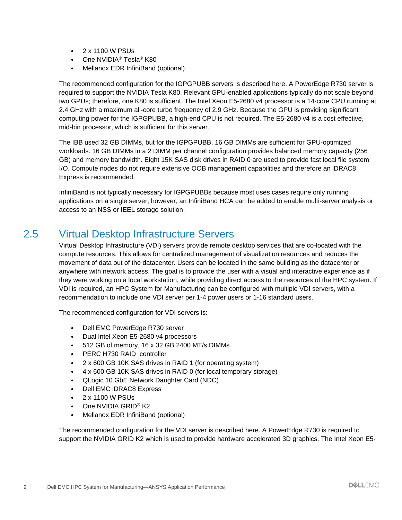- $\cdot$  2 x 1100 W PSUs
- One NVIDIA<sup>®</sup> Tesla<sup>®</sup> K80
- Mellanox EDR InfiniBand (optional)

The recommended configuration for the IGPGPUBB servers is described here. A PowerEdge R730 server is required to support the NVIDIA Tesla K80. Relevant GPU-enabled applications typically do not scale beyond two GPUs; therefore, one K80 is sufficient. The Intel Xeon E5-2680 v4 processor is a 14-core CPU running at 2.4 GHz with a maximum all-core turbo frequency of 2.9 GHz. Because the GPU is providing significant computing power for the IGPGPUBB, a high-end CPU is not required. The E5-2680 v4 is a cost effective, mid-bin processor, which is sufficient for this server.

The IBB used 32 GB DIMMs, but for the IGPGPUBB, 16 GB DIMMs are sufficient for GPU-optimized workloads. 16 GB DIMMs in a 2 DIMM per channel configuration provides balanced memory capacity (256 GB) and memory bandwidth. Eight 15K SAS disk drives in RAID 0 are used to provide fast local file system I/O. Compute nodes do not require extensive OOB management capabilities and therefore an iDRAC8 Express is recommended.

InfiniBand is not typically necessary for IGPGPUBBs because most uses cases require only running applications on a single server; however, an InfiniBand HCA can be added to enable multi-server analysis or access to an NSS or IEEL storage solution.

### 2.5 Virtual Desktop Infrastructure Servers

Virtual Desktop Infrastructure (VDI) servers provide remote desktop services that are co-located with the compute resources. This allows for centralized management of visualization resources and reduces the movement of data out of the datacenter. Users can be located in the same building as the datacenter or anywhere with network access. The goal is to provide the user with a visual and interactive experience as if they were working on a local workstation, while providing direct access to the resources of the HPC system. If VDI is required, an HPC System for Manufacturing can be configured with multiple VDI servers, with a recommendation to include one VDI server per 1-4 power users or 1-16 standard users.

The recommended configuration for VDI servers is:

- Dell EMC PowerEdge R730 server
- Dual Intel Xeon E5-2680 v4 processors
- 512 GB of memory, 16 x 32 GB 2400 MT/s DIMMs
- PERC H730 RAID controller
- 2 x 600 GB 10K SAS drives in RAID 1 (for operating system)
- 4 x 600 GB 10K SAS drives in RAID 0 (for local temporary storage)
- QLogic 10 GbE Network Daughter Card (NDC)
- Dell EMC iDRAC8 Express
- 2 x 1100 W PSUs
- One NVIDIA GRID<sup>®</sup> K2
- Mellanox EDR InfiniBand (optional)

The recommended configuration for the VDI server is described here. A PowerEdge R730 is required to support the NVIDIA GRID K2 which is used to provide hardware accelerated 3D graphics. The Intel Xeon E5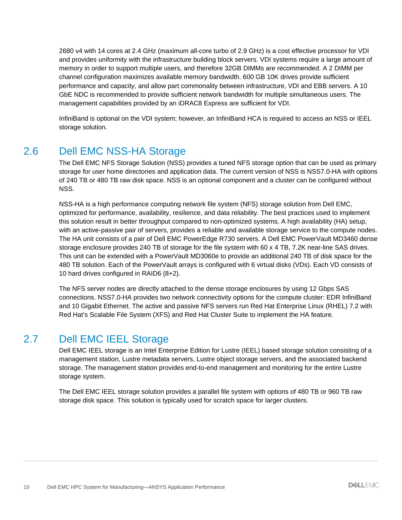2680 v4 with 14 cores at 2.4 GHz (maximum all-core turbo of 2.9 GHz) is a cost effective processor for VDI and provides uniformity with the infrastructure building block servers. VDI systems require a large amount of memory in order to support multiple users, and therefore 32GB DIMMs are recommended. A 2 DIMM per channel configuration maximizes available memory bandwidth. 600 GB 10K drives provide sufficient performance and capacity, and allow part commonality between infrastructure, VDI and EBB servers. A 10 GbE NDC is recommended to provide sufficient network bandwidth for multiple simultaneous users. The management capabilities provided by an iDRAC8 Express are sufficient for VDI.

InfiniBand is optional on the VDI system; however, an InfiniBand HCA is required to access an NSS or IEEL storage solution.

### 2.6 Dell EMC NSS-HA Storage

The Dell EMC NFS Storage Solution (NSS) provides a tuned NFS storage option that can be used as primary storage for user home directories and application data. The current version of NSS is NSS7.0-HA with options of 240 TB or 480 TB raw disk space. NSS is an optional component and a cluster can be configured without NSS.

NSS-HA is a high performance computing network file system (NFS) storage solution from Dell EMC, optimized for performance, availability, resilience, and data reliability. The best practices used to implement this solution result in better throughput compared to non-optimized systems. A high availability (HA) setup, with an active-passive pair of servers, provides a reliable and available storage service to the compute nodes. The HA unit consists of a pair of Dell EMC PowerEdge R730 servers. A Dell EMC PowerVault MD3460 dense storage enclosure provides 240 TB of storage for the file system with 60 x 4 TB, 7.2K near-line SAS drives. This unit can be extended with a PowerVault MD3060e to provide an additional 240 TB of disk space for the 480 TB solution. Each of the PowerVault arrays is configured with 6 virtual disks (VDs). Each VD consists of 10 hard drives configured in RAID6 (8+2).

The NFS server nodes are directly attached to the dense storage enclosures by using 12 Gbps SAS connections. NSS7.0-HA provides two network connectivity options for the compute cluster: EDR InfiniBand and 10 Gigabit Ethernet. The active and passive NFS servers run Red Hat Enterprise Linux (RHEL) 7.2 with Red Hat's Scalable File System (XFS) and Red Hat Cluster Suite to implement the HA feature.

#### 2.7 Dell EMC IEEL Storage

Dell EMC IEEL storage is an Intel Enterprise Edition for Lustre (IEEL) based storage solution consisting of a management station, Lustre metadata servers, Lustre object storage servers, and the associated backend storage. The management station provides end-to-end management and monitoring for the entire Lustre storage system.

The Dell EMC IEEL storage solution provides a parallel file system with options of 480 TB or 960 TB raw storage disk space. This solution is typically used for scratch space for larger clusters.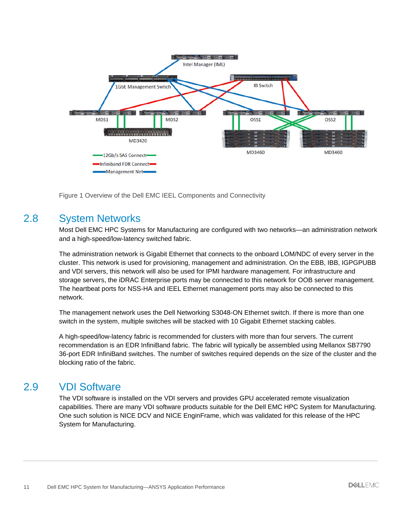

Figure 1 Overview of the Dell EMC IEEL Components and Connectivity

#### 2.8 System Networks

Most Dell EMC HPC Systems for Manufacturing are configured with two networks—an administration network and a high-speed/low-latency switched fabric.

The administration network is Gigabit Ethernet that connects to the onboard LOM/NDC of every server in the cluster. This network is used for provisioning, management and administration. On the EBB, IBB, IGPGPUBB and VDI servers, this network will also be used for IPMI hardware management. For infrastructure and storage servers, the iDRAC Enterprise ports may be connected to this network for OOB server management. The heartbeat ports for NSS-HA and IEEL Ethernet management ports may also be connected to this network.

The management network uses the Dell Networking S3048-ON Ethernet switch. If there is more than one switch in the system, multiple switches will be stacked with 10 Gigabit Ethernet stacking cables.

A high-speed/low-latency fabric is recommended for clusters with more than four servers. The current recommendation is an EDR InfiniBand fabric. The fabric will typically be assembled using Mellanox SB7790 36-port EDR InfiniBand switches. The number of switches required depends on the size of the cluster and the blocking ratio of the fabric.

#### 2.9 VDI Software

The VDI software is installed on the VDI servers and provides GPU accelerated remote visualization capabilities. There are many VDI software products suitable for the Dell EMC HPC System for Manufacturing. One such solution is NICE DCV and NICE EnginFrame, which was validated for this release of the HPC System for Manufacturing.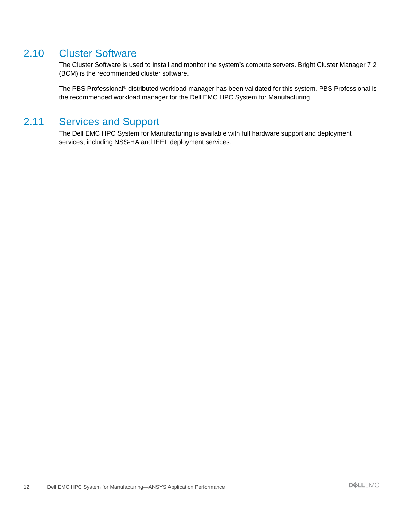#### 2.10 Cluster Software

The Cluster Software is used to install and monitor the system's compute servers. Bright Cluster Manager 7.2 (BCM) is the recommended cluster software.

The PBS Professional<sup>®</sup> distributed workload manager has been validated for this system. PBS Professional is the recommended workload manager for the Dell EMC HPC System for Manufacturing.

#### 2.11 Services and Support

The Dell EMC HPC System for Manufacturing is available with full hardware support and deployment services, including NSS-HA and IEEL deployment services.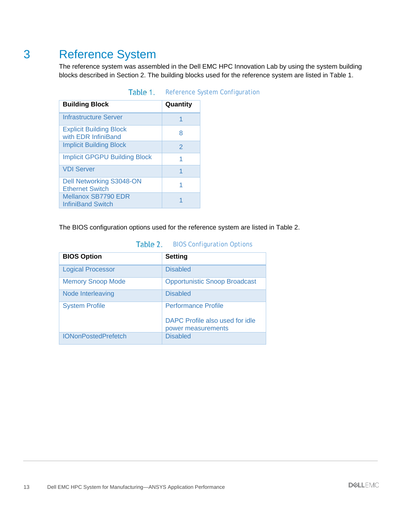### 3 Reference System

The reference system was assembled in the Dell EMC HPC Innovation Lab by using the system building blocks described in Section 2. The building blocks used for the reference system are listed in Table 1.

| <b>Building Block</b>                                     | Quantity |
|-----------------------------------------------------------|----------|
| Infrastructure Server                                     |          |
| <b>Explicit Building Block</b><br>with EDR InfiniBand     | 8        |
| <b>Implicit Building Block</b>                            | 2        |
| <b>Implicit GPGPU Building Block</b>                      |          |
| <b>VDI Server</b>                                         | 1        |
| <b>Dell Networking S3048-ON</b><br><b>Ethernet Switch</b> |          |
| Mellanox SB7790 EDR<br><b>InfiniBand Switch</b>           |          |

| Table 1. |  | Reference System Configuration |
|----------|--|--------------------------------|
|----------|--|--------------------------------|

The BIOS configuration options used for the reference system are listed in Table 2.

| <b>BIOS Option</b>         | <b>Setting</b>                                        |
|----------------------------|-------------------------------------------------------|
| <b>Logical Processor</b>   | <b>Disabled</b>                                       |
| <b>Memory Snoop Mode</b>   | <b>Opportunistic Snoop Broadcast</b>                  |
| Node Interleaving          | <b>Disabled</b>                                       |
| <b>System Profile</b>      | <b>Performance Profile</b>                            |
|                            | DAPC Profile also used for idle<br>power measurements |
| <b>IONonPostedPrefetch</b> | <b>Disabled</b>                                       |

#### Table 2. BIOS Configuration Options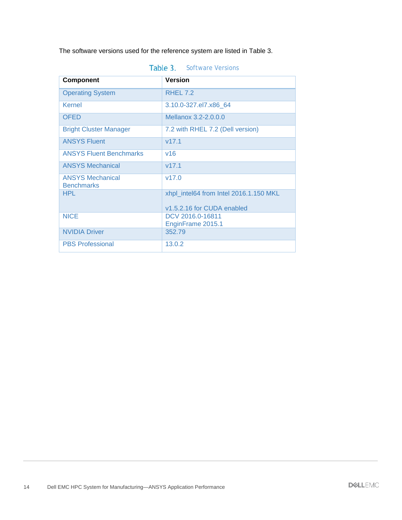The software versions used for the reference system are listed in Table 3.

| <b>Component</b>                             | <b>Version</b>                         |
|----------------------------------------------|----------------------------------------|
| <b>Operating System</b>                      | RHEL 7.2                               |
| Kernel                                       | 3.10.0-327.el7.x86_64                  |
| <b>OFED</b>                                  | Mellanox 3.2-2.0.0.0                   |
| <b>Bright Cluster Manager</b>                | 7.2 with RHEL 7.2 (Dell version)       |
| <b>ANSYS Fluent</b>                          | V17.1                                  |
| <b>ANSYS Fluent Benchmarks</b>               | V <sup>16</sup>                        |
| <b>ANSYS Mechanical</b>                      | V17.1                                  |
| <b>ANSYS Mechanical</b><br><b>Benchmarks</b> | V17.0                                  |
| HPI.                                         | xhpl_intel64 from Intel 2016.1.150 MKL |
|                                              | v1.5.2.16 for CUDA enabled             |
| <b>NICE</b>                                  | DCV 2016.0-16811                       |
| <b>NVIDIA Driver</b>                         | EnginFrame 2015.1<br>352.79            |
| <b>PBS Professional</b>                      | 13.0.2                                 |

| Table 3. | <b>Software Versions</b> |
|----------|--------------------------|
|----------|--------------------------|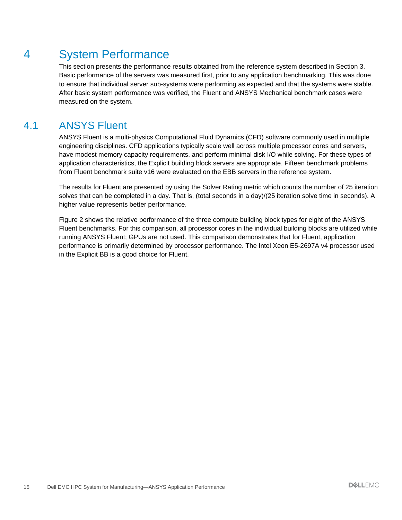### 4 System Performance

This section presents the performance results obtained from the reference system described in Section 3. Basic performance of the servers was measured first, prior to any application benchmarking. This was done to ensure that individual server sub-systems were performing as expected and that the systems were stable. After basic system performance was verified, the Fluent and ANSYS Mechanical benchmark cases were measured on the system.

### 4.1 ANSYS Fluent

ANSYS Fluent is a multi-physics Computational Fluid Dynamics (CFD) software commonly used in multiple engineering disciplines. CFD applications typically scale well across multiple processor cores and servers, have modest memory capacity requirements, and perform minimal disk I/O while solving. For these types of application characteristics, the Explicit building block servers are appropriate. Fifteen benchmark problems from Fluent benchmark suite v16 were evaluated on the EBB servers in the reference system.

The results for Fluent are presented by using the Solver Rating metric which counts the number of 25 iteration solves that can be completed in a day. That is, (total seconds in a day)/(25 iteration solve time in seconds). A higher value represents better performance.

Figure 2 shows the relative performance of the three compute building block types for eight of the ANSYS Fluent benchmarks. For this comparison, all processor cores in the individual building blocks are utilized while running ANSYS Fluent; GPUs are not used. This comparison demonstrates that for Fluent, application performance is primarily determined by processor performance. The Intel Xeon E5-2697A v4 processor used in the Explicit BB is a good choice for Fluent.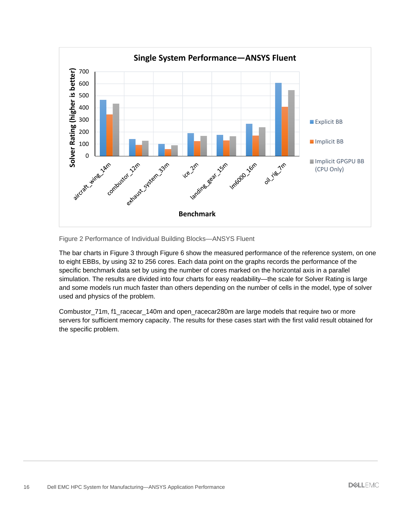

Figure 2 Performance of Individual Building Blocks—ANSYS Fluent

The bar charts in Figure 3 through Figure 6 show the measured performance of the reference system, on one to eight EBBs, by using 32 to 256 cores. Each data point on the graphs records the performance of the specific benchmark data set by using the number of cores marked on the horizontal axis in a parallel simulation. The results are divided into four charts for easy readability—the scale for Solver Rating is large and some models run much faster than others depending on the number of cells in the model, type of solver used and physics of the problem.

Combustor 71m, f1\_racecar\_140m and open\_racecar280m are large models that require two or more servers for sufficient memory capacity. The results for these cases start with the first valid result obtained for the specific problem.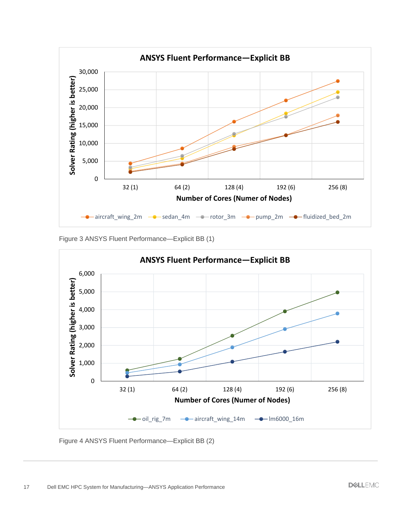

Figure 3 ANSYS Fluent Performance—Explicit BB (1)



Figure 4 ANSYS Fluent Performance—Explicit BB (2)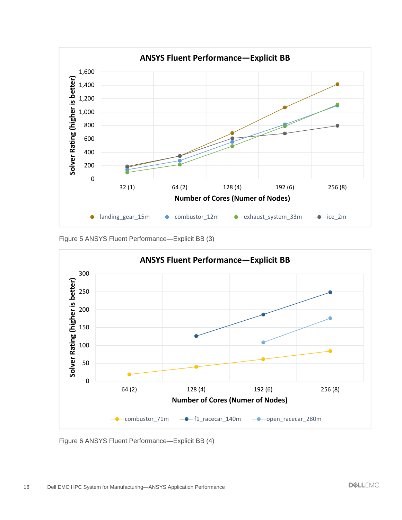

Figure 5 ANSYS Fluent Performance—Explicit BB (3)



Figure 6 ANSYS Fluent Performance—Explicit BB (4)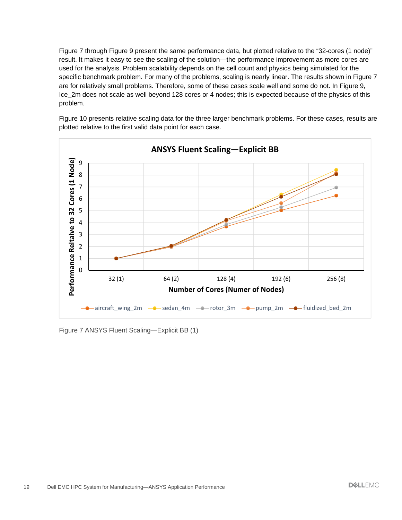Figure 7 through Figure 9 present the same performance data, but plotted relative to the "32-cores (1 node)" result. It makes it easy to see the scaling of the solution—the performance improvement as more cores are used for the analysis. Problem scalability depends on the cell count and physics being simulated for the specific benchmark problem. For many of the problems, scaling is nearly linear. The results shown in Figure 7 are for relatively small problems. Therefore, some of these cases scale well and some do not. In Figure 9, Ice\_2m does not scale as well beyond 128 cores or 4 nodes; this is expected because of the physics of this problem.



Figure 10 presents relative scaling data for the three larger benchmark problems. For these cases, results are plotted relative to the first valid data point for each case.

Figure 7 ANSYS Fluent Scaling—Explicit BB (1)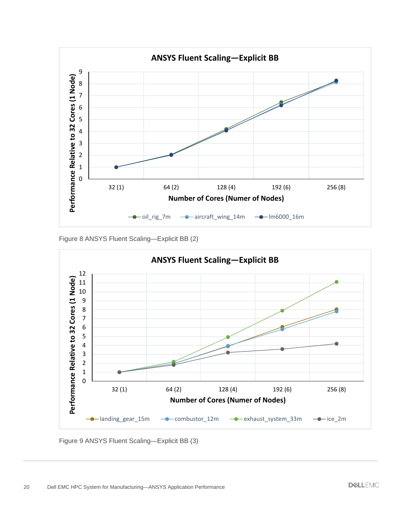

Figure 8 ANSYS Fluent Scaling—Explicit BB (2)



Figure 9 ANSYS Fluent Scaling—Explicit BB (3)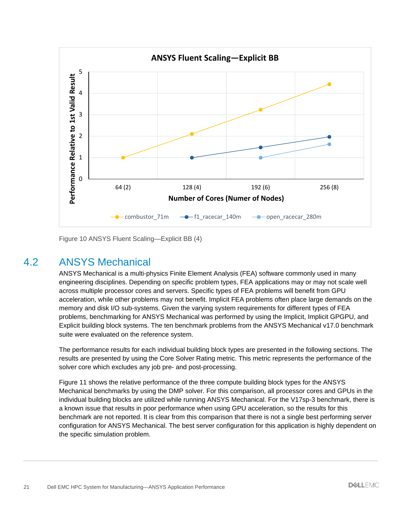

Figure 10 ANSYS Fluent Scaling—Explicit BB (4)

#### 4.2 ANSYS Mechanical

ANSYS Mechanical is a multi-physics Finite Element Analysis (FEA) software commonly used in many engineering disciplines. Depending on specific problem types, FEA applications may or may not scale well across multiple processor cores and servers. Specific types of FEA problems will benefit from GPU acceleration, while other problems may not benefit. Implicit FEA problems often place large demands on the memory and disk I/O sub-systems. Given the varying system requirements for different types of FEA problems, benchmarking for ANSYS Mechanical was performed by using the Implicit, Implicit GPGPU, and Explicit building block systems. The ten benchmark problems from the ANSYS Mechanical v17.0 benchmark suite were evaluated on the reference system.

The performance results for each individual building block types are presented in the following sections. The results are presented by using the Core Solver Rating metric. This metric represents the performance of the solver core which excludes any job pre- and post-processing.

Figure 11 shows the relative performance of the three compute building block types for the ANSYS Mechanical benchmarks by using the DMP solver. For this comparison, all processor cores and GPUs in the individual building blocks are utilized while running ANSYS Mechanical. For the V17sp-3 benchmark, there is a known issue that results in poor performance when using GPU acceleration, so the results for this benchmark are not reported. It is clear from this comparison that there is not a single best performing server configuration for ANSYS Mechanical. The best server configuration for this application is highly dependent on the specific simulation problem.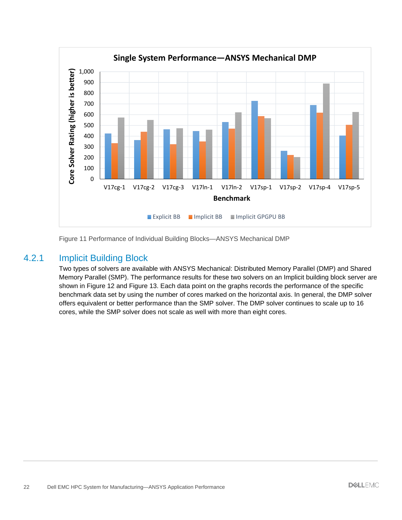

Figure 11 Performance of Individual Building Blocks—ANSYS Mechanical DMP

#### 4.2.1 Implicit Building Block

Two types of solvers are available with ANSYS Mechanical: Distributed Memory Parallel (DMP) and Shared Memory Parallel (SMP). The performance results for these two solvers on an Implicit building block server are shown in Figure 12 and Figure 13. Each data point on the graphs records the performance of the specific benchmark data set by using the number of cores marked on the horizontal axis. In general, the DMP solver offers equivalent or better performance than the SMP solver. The DMP solver continues to scale up to 16 cores, while the SMP solver does not scale as well with more than eight cores.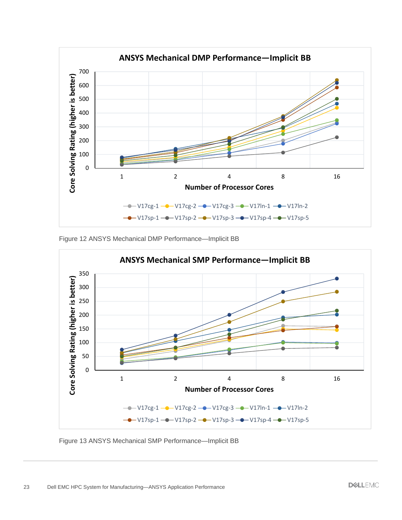

Figure 12 ANSYS Mechanical DMP Performance—Implicit BB



Figure 13 ANSYS Mechanical SMP Performance—Implicit BB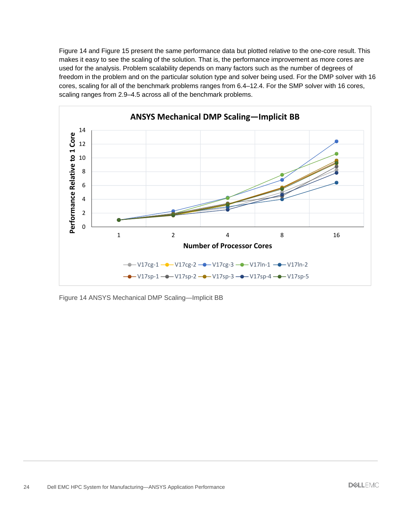Figure 14 and Figure 15 present the same performance data but plotted relative to the one-core result. This makes it easy to see the scaling of the solution. That is, the performance improvement as more cores are used for the analysis. Problem scalability depends on many factors such as the number of degrees of freedom in the problem and on the particular solution type and solver being used. For the DMP solver with 16 cores, scaling for all of the benchmark problems ranges from 6.4–12.4. For the SMP solver with 16 cores, scaling ranges from 2.9–4.5 across all of the benchmark problems.



Figure 14 ANSYS Mechanical DMP Scaling—Implicit BB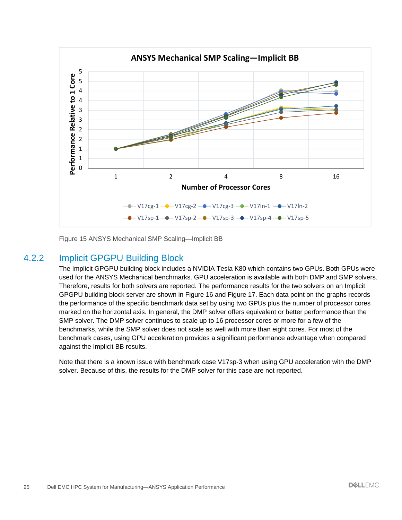

Figure 15 ANSYS Mechanical SMP Scaling—Implicit BB

#### 4.2.2 Implicit GPGPU Building Block

The Implicit GPGPU building block includes a NVIDIA Tesla K80 which contains two GPUs. Both GPUs were used for the ANSYS Mechanical benchmarks. GPU acceleration is available with both DMP and SMP solvers. Therefore, results for both solvers are reported. The performance results for the two solvers on an Implicit GPGPU building block server are shown in Figure 16 and Figure 17. Each data point on the graphs records the performance of the specific benchmark data set by using two GPUs plus the number of processor cores marked on the horizontal axis. In general, the DMP solver offers equivalent or better performance than the SMP solver. The DMP solver continues to scale up to 16 processor cores or more for a few of the benchmarks, while the SMP solver does not scale as well with more than eight cores. For most of the benchmark cases, using GPU acceleration provides a significant performance advantage when compared against the Implicit BB results.

Note that there is a known issue with benchmark case V17sp-3 when using GPU acceleration with the DMP solver. Because of this, the results for the DMP solver for this case are not reported.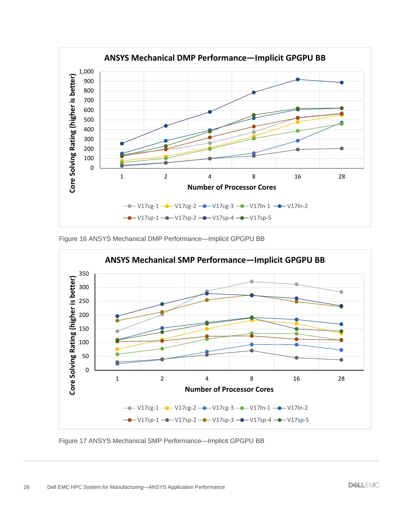

Figure 16 ANSYS Mechanical DMP Performance—Implicit GPGPU BB



Figure 17 ANSYS Mechanical SMP Performance—Implicit GPGPU BB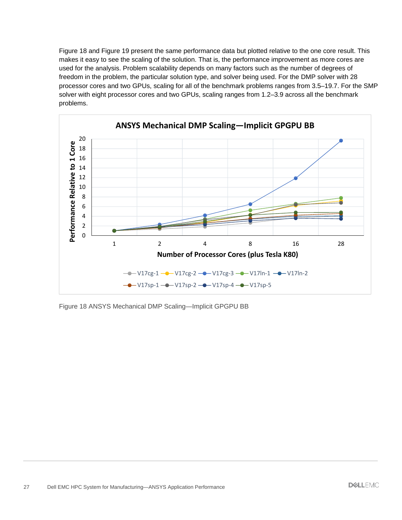Figure 18 and Figure 19 present the same performance data but plotted relative to the one core result. This makes it easy to see the scaling of the solution. That is, the performance improvement as more cores are used for the analysis. Problem scalability depends on many factors such as the number of degrees of freedom in the problem, the particular solution type, and solver being used. For the DMP solver with 28 processor cores and two GPUs, scaling for all of the benchmark problems ranges from 3.5–19.7. For the SMP solver with eight processor cores and two GPUs, scaling ranges from 1.2–3.9 across all the benchmark problems.



Figure 18 ANSYS Mechanical DMP Scaling—Implicit GPGPU BB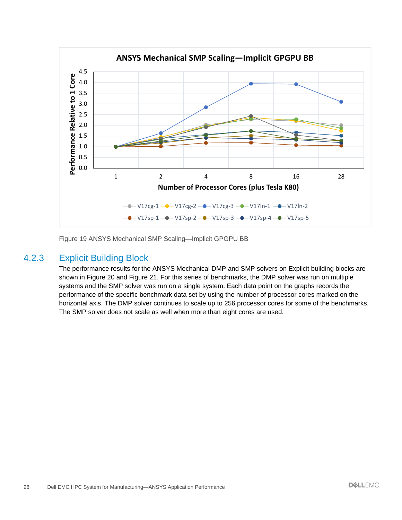

Figure 19 ANSYS Mechanical SMP Scaling—Implicit GPGPU BB

#### 4.2.3 Explicit Building Block

The performance results for the ANSYS Mechanical DMP and SMP solvers on Explicit building blocks are shown in Figure 20 and Figure 21. For this series of benchmarks, the DMP solver was run on multiple systems and the SMP solver was run on a single system. Each data point on the graphs records the performance of the specific benchmark data set by using the number of processor cores marked on the horizontal axis. The DMP solver continues to scale up to 256 processor cores for some of the benchmarks. The SMP solver does not scale as well when more than eight cores are used.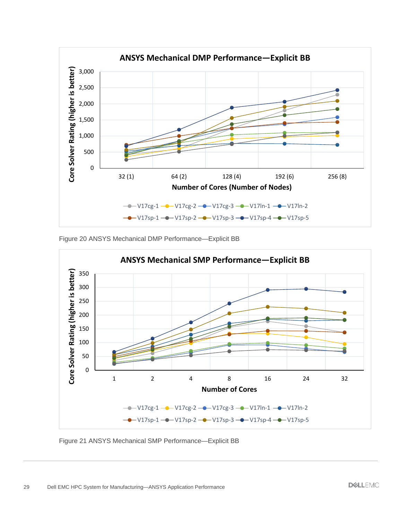

Figure 20 ANSYS Mechanical DMP Performance—Explicit BB



Figure 21 ANSYS Mechanical SMP Performance—Explicit BB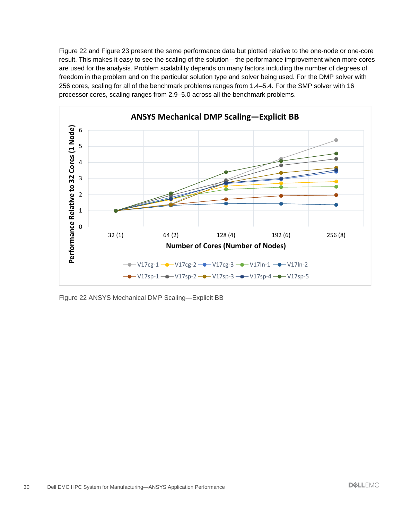Figure 22 and Figure 23 present the same performance data but plotted relative to the one-node or one-core result. This makes it easy to see the scaling of the solution—the performance improvement when more cores are used for the analysis. Problem scalability depends on many factors including the number of degrees of freedom in the problem and on the particular solution type and solver being used. For the DMP solver with 256 cores, scaling for all of the benchmark problems ranges from 1.4–5.4. For the SMP solver with 16 processor cores, scaling ranges from 2.9–5.0 across all the benchmark problems.



Figure 22 ANSYS Mechanical DMP Scaling—Explicit BB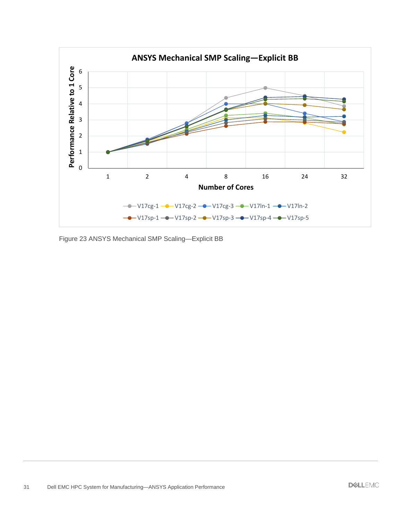

Figure 23 ANSYS Mechanical SMP Scaling—Explicit BB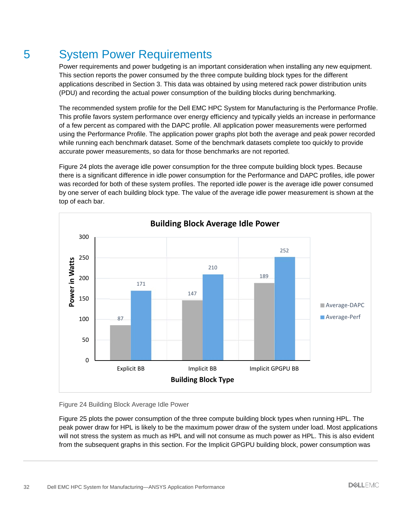## 5 System Power Requirements

Power requirements and power budgeting is an important consideration when installing any new equipment. This section reports the power consumed by the three compute building block types for the different applications described in Section 3. This data was obtained by using metered rack power distribution units (PDU) and recording the actual power consumption of the building blocks during benchmarking.

The recommended system profile for the Dell EMC HPC System for Manufacturing is the Performance Profile. This profile favors system performance over energy efficiency and typically yields an increase in performance of a few percent as compared with the DAPC profile. All application power measurements were performed using the Performance Profile. The application power graphs plot both the average and peak power recorded while running each benchmark dataset. Some of the benchmark datasets complete too quickly to provide accurate power measurements, so data for those benchmarks are not reported.

Figure 24 plots the average idle power consumption for the three compute building block types. Because there is a significant difference in idle power consumption for the Performance and DAPC profiles, idle power was recorded for both of these system profiles. The reported idle power is the average idle power consumed by one server of each building block type. The value of the average idle power measurement is shown at the top of each bar.



Figure 24 Building Block Average Idle Power

Figure 25 plots the power consumption of the three compute building block types when running HPL. The peak power draw for HPL is likely to be the maximum power draw of the system under load. Most applications will not stress the system as much as HPL and will not consume as much power as HPL. This is also evident from the subsequent graphs in this section. For the Implicit GPGPU building block, power consumption was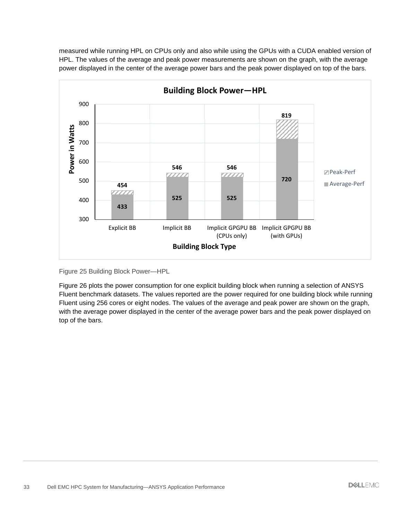measured while running HPL on CPUs only and also while using the GPUs with a CUDA enabled version of HPL. The values of the average and peak power measurements are shown on the graph, with the average power displayed in the center of the average power bars and the peak power displayed on top of the bars.



Figure 25 Building Block Power—HPL

Figure 26 plots the power consumption for one explicit building block when running a selection of ANSYS Fluent benchmark datasets. The values reported are the power required for one building block while running Fluent using 256 cores or eight nodes. The values of the average and peak power are shown on the graph, with the average power displayed in the center of the average power bars and the peak power displayed on top of the bars.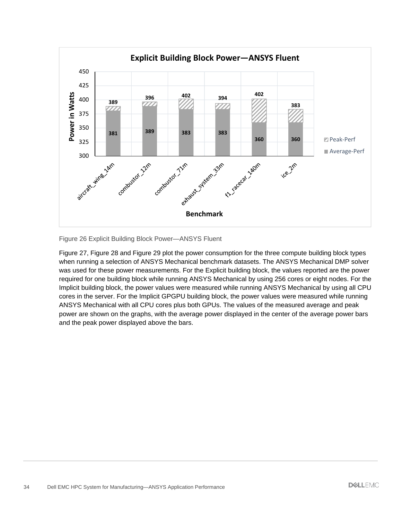

Figure 26 Explicit Building Block Power—ANSYS Fluent

Figure 27, Figure 28 and Figure 29 plot the power consumption for the three compute building block types when running a selection of ANSYS Mechanical benchmark datasets. The ANSYS Mechanical DMP solver was used for these power measurements. For the Explicit building block, the values reported are the power required for one building block while running ANSYS Mechanical by using 256 cores or eight nodes. For the Implicit building block, the power values were measured while running ANSYS Mechanical by using all CPU cores in the server. For the Implicit GPGPU building block, the power values were measured while running ANSYS Mechanical with all CPU cores plus both GPUs. The values of the measured average and peak power are shown on the graphs, with the average power displayed in the center of the average power bars and the peak power displayed above the bars.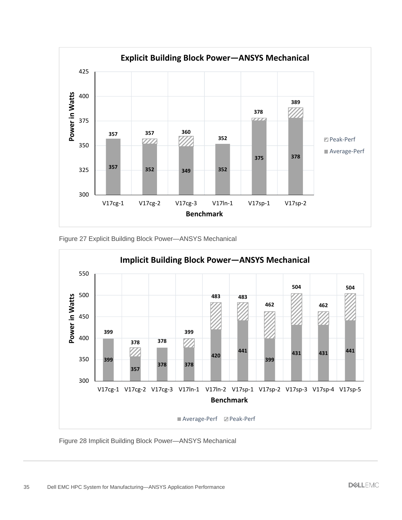

Figure 27 Explicit Building Block Power—ANSYS Mechanical



Figure 28 Implicit Building Block Power—ANSYS Mechanical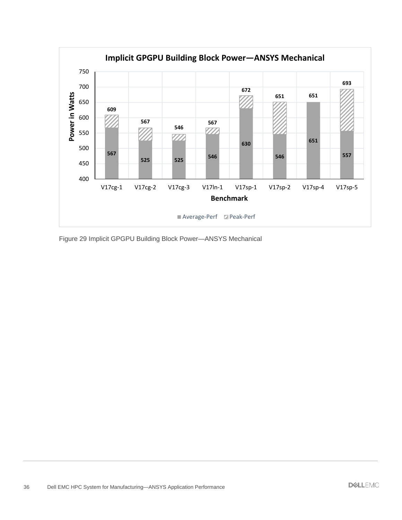

Figure 29 Implicit GPGPU Building Block Power—ANSYS Mechanical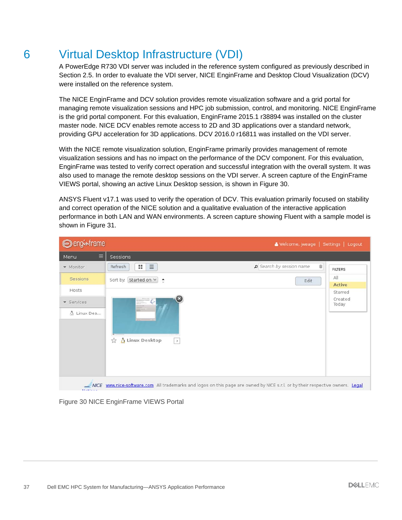## 6 Virtual Desktop Infrastructure (VDI)

A PowerEdge R730 VDI server was included in the reference system configured as previously described in Section 2.5. In order to evaluate the VDI server, NICE EnginFrame and Desktop Cloud Visualization (DCV) were installed on the reference system.

The NICE EnginFrame and DCV solution provides remote visualization software and a grid portal for managing remote visualization sessions and HPC job submission, control, and monitoring. NICE EnginFrame is the grid portal component. For this evaluation, EnginFrame 2015.1 r38894 was installed on the cluster master node. NICE DCV enables remote access to 2D and 3D applications over a standard network, providing GPU acceleration for 3D applications. DCV 2016.0 r16811 was installed on the VDI server.

With the NICE remote visualization solution, EnginFrame primarily provides management of remote visualization sessions and has no impact on the performance of the DCV component. For this evaluation, EnginFrame was tested to verify correct operation and successful integration with the overall system. It was also used to manage the remote desktop sessions on the VDI server. A screen capture of the EnginFrame VIEWS portal, showing an active Linux Desktop session, is shown in Figure 30.

ANSYS Fluent v17.1 was used to verify the operation of DCV. This evaluation primarily focused on stability and correct operation of the NICE solution and a qualitative evaluation of the interactive application performance in both LAN and WAN environments. A screen capture showing Fluent with a sample model is shown in Figure 31.

| <b>O</b> enginframe<br>Welcome, jweage   Settings   Logout |                                                           |                             |
|------------------------------------------------------------|-----------------------------------------------------------|-----------------------------|
| $\equiv$<br>Menu                                           | Sessions                                                  |                             |
| • Monitor                                                  | P Search by session name<br>$\equiv$<br>Refresh<br>H.     | ŵ<br><b>FILTERS</b>         |
| <b>Sessions</b>                                            | Sort by: Started on $\vee$ $\bullet$<br>Edit              | All<br><b>Active</b>        |
| Hosts<br>· Services<br>A Linux Des                         | $\boldsymbol{\Xi}$<br>.e<br>△ Linux Desktop<br>53<br>$\,$ | Starred<br>Created<br>Today |

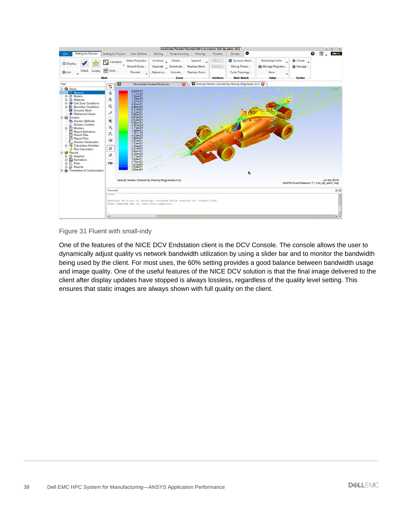

#### Figure 31 Fluent with small-indy

One of the features of the NICE DCV Endstation client is the DCV Console. The console allows the user to dynamically adjust quality vs network bandwidth utilization by using a slider bar and to monitor the bandwidth being used by the client. For most uses, the 60% setting provides a good balance between bandwidth usage and image quality. One of the useful features of the NICE DCV solution is that the final image delivered to the client after display updates have stopped is always lossless, regardless of the quality level setting. This ensures that static images are always shown with full quality on the client.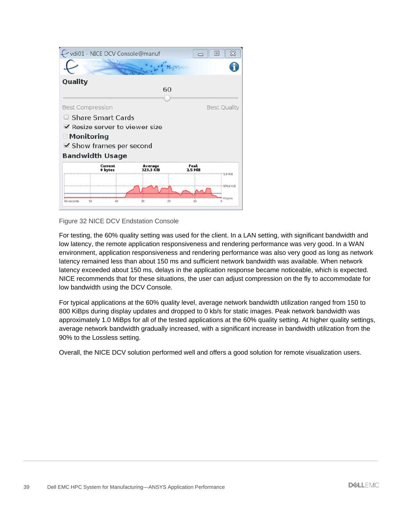



For testing, the 60% quality setting was used for the client. In a LAN setting, with significant bandwidth and low latency, the remote application responsiveness and rendering performance was very good. In a WAN environment, application responsiveness and rendering performance was also very good as long as network latency remained less than about 150 ms and sufficient network bandwidth was available. When network latency exceeded about 150 ms, delays in the application response became noticeable, which is expected. NICE recommends that for these situations, the user can adjust compression on the fly to accommodate for low bandwidth using the DCV Console.

For typical applications at the 60% quality level, average network bandwidth utilization ranged from 150 to 800 KiBps during display updates and dropped to 0 kb/s for static images. Peak network bandwidth was approximately 1.0 MiBps for all of the tested applications at the 60% quality setting. At higher quality settings, average network bandwidth gradually increased, with a significant increase in bandwidth utilization from the 90% to the Lossless setting.

Overall, the NICE DCV solution performed well and offers a good solution for remote visualization users.